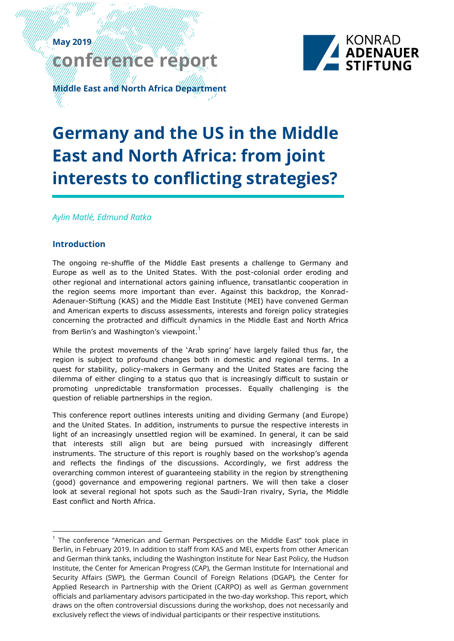# **May 2019 conference report**



**Middle East and North Africa Department**

# **Germany and the US in the Middle East and North Africa: from joint interests to conflicting strategies?**

*Aylin Matlé, Edmund Ratka*

# **Introduction**

The ongoing re-shuffle of the Middle East presents a challenge to Germany and Europe as well as to the United States. With the post-colonial order eroding and other regional and international actors gaining influence, transatlantic cooperation in the region seems more important than ever. Against this backdrop, the Konrad-Adenauer-Stiftung (KAS) and the Middle East Institute (MEI) have convened German and American experts to discuss assessments, interests and foreign policy strategies concerning the protracted and difficult dynamics in the Middle East and North Africa from Berlin's and Washington's viewpoint.<sup>1</sup>

While the protest movements of the 'Arab spring' have largely failed thus far, the region is subject to profound changes both in domestic and regional terms. In a quest for stability, policy-makers in Germany and the United States are facing the dilemma of either clinging to a status quo that is increasingly difficult to sustain or promoting unpredictable transformation processes. Equally challenging is the question of reliable partnerships in the region.

This conference report outlines interests uniting and dividing Germany (and Europe) and the United States. In addition, instruments to pursue the respective interests in light of an increasingly unsettled region will be examined. In general, it can be said that interests still align but are being pursued with increasingly different instruments. The structure of this report is roughly based on the workshop's agenda and reflects the findings of the discussions. Accordingly, we first address the overarching common interest of guaranteeing stability in the region by strengthening (good) governance and empowering regional partners. We will then take a closer look at several regional hot spots such as the Saudi-Iran rivalry, Syria, the Middle East conflict and North Africa.

 $1$  The conference "American and German Perspectives on the Middle East" took place in Berlin, in February 2019. In addition to staff from KAS and MEI, experts from other American and German think tanks, including the Washington Institute for Near East Policy, the Hudson Institute, the Center for American Progress (CAP), the German Institute for International and Security Affairs (SWP), the German Council of Foreign Relations (DGAP), the Center for Applied Research in Partnership with the Orient (CARPO) as well as German government officials and parliamentary advisors participated in the two-day workshop. This report, which draws on the often controversial discussions during the workshop, does not necessarily and exclusively reflect the views of individual participants or their respective institutions.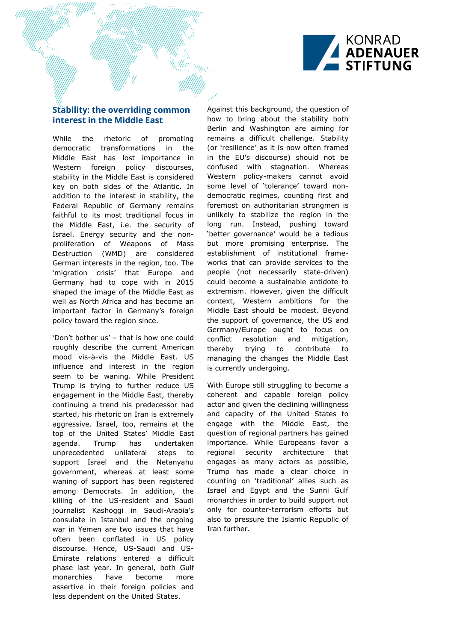

# **Stability: the overriding common interest in the Middle East**

While the rhetoric of promoting democratic transformations in the Middle East has lost importance in Western foreign policy discourses, stability in the Middle East is considered key on both sides of the Atlantic. In addition to the interest in stability, the Federal Republic of Germany remains faithful to its most traditional focus in the Middle East, i.e. the security of Israel. Energy security and the nonproliferation of Weapons of Mass Destruction (WMD) are considered German interests in the region, too. The 'migration crisis' that Europe and Germany had to cope with in 2015 shaped the image of the Middle East as well as North Africa and has become an important factor in Germany's foreign policy toward the region since.

'Don't bother us' – that is how one could roughly describe the current American mood vis-à-vis the Middle East. US influence and interest in the region seem to be waning. While President Trump is trying to further reduce US engagement in the Middle East, thereby continuing a trend his predecessor had started, his rhetoric on Iran is extremely aggressive. Israel, too, remains at the top of the United States' Middle East agenda. Trump has undertaken unprecedented unilateral steps to support Israel and the Netanyahu government, whereas at least some waning of support has been registered among Democrats. In addition, the killing of the US-resident and Saudi journalist Kashoggi in Saudi-Arabia's consulate in Istanbul and the ongoing war in Yemen are two issues that have often been conflated in US policy discourse. Hence, US-Saudi and US-Emirate relations entered a difficult phase last year. In general, both Gulf monarchies have become more assertive in their foreign policies and less dependent on the United States.

Against this background, the question of how to bring about the stability both Berlin and Washington are aiming for remains a difficult challenge. Stability (or 'resilience' as it is now often framed in the EU's discourse) should not be confused with stagnation. Whereas Western policy-makers cannot avoid some level of 'tolerance' toward nondemocratic regimes, counting first and foremost on authoritarian strongmen is unlikely to stabilize the region in the long run. Instead, pushing toward 'better governance' would be a tedious but more promising enterprise. The establishment of institutional frameworks that can provide services to the people (not necessarily state-driven) could become a sustainable antidote to extremism. However, given the difficult context, Western ambitions for the Middle East should be modest. Beyond the support of governance, the US and Germany/Europe ought to focus on conflict resolution and mitigation, thereby trying to contribute to managing the changes the Middle East is currently undergoing.

With Europe still struggling to become a coherent and capable foreign policy actor and given the declining willingness and capacity of the United States to engage with the Middle East, the question of regional partners has gained importance. While Europeans favor a regional security architecture that engages as many actors as possible, Trump has made a clear choice in counting on 'traditional' allies such as Israel and Egypt and the Sunni Gulf monarchies in order to build support not only for counter-terrorism efforts but also to pressure the Islamic Republic of Iran further.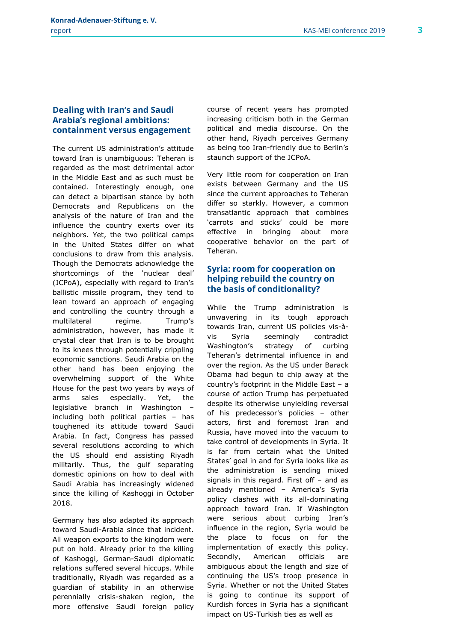#### **Dealing with Iran's and Saudi Arabia's regional ambitions: containment versus engagement**

The current US administration's attitude toward Iran is unambiguous: Teheran is regarded as the most detrimental actor in the Middle East and as such must be contained. Interestingly enough, one can detect a bipartisan stance by both Democrats and Republicans on the analysis of the nature of Iran and the influence the country exerts over its neighbors. Yet, the two political camps in the United States differ on what conclusions to draw from this analysis. Though the Democrats acknowledge the shortcomings of the 'nuclear deal' (JCPoA), especially with regard to Iran's ballistic missile program, they tend to lean toward an approach of engaging and controlling the country through a multilateral regime. Trump's administration, however, has made it crystal clear that Iran is to be brought to its knees through potentially crippling economic sanctions. Saudi Arabia on the other hand has been enjoying the overwhelming support of the White House for the past two years by ways of arms sales especially. Yet, the legislative branch in Washington – including both political parties – has toughened its attitude toward Saudi Arabia. In fact, Congress has passed several resolutions according to which the US should end assisting Riyadh militarily. Thus, the gulf separating domestic opinions on how to deal with Saudi Arabia has increasingly widened since the killing of Kashoggi in October 2018.

Germany has also adapted its approach toward Saudi-Arabia since that incident. All weapon exports to the kingdom were put on hold. Already prior to the killing of Kashoggi, German-Saudi diplomatic relations suffered several hiccups. While traditionally, Riyadh was regarded as a guardian of stability in an otherwise perennially crisis-shaken region, the more offensive Saudi foreign policy

course of recent years has prompted increasing criticism both in the German political and media discourse. On the other hand, Riyadh perceives Germany as being too Iran-friendly due to Berlin's staunch support of the JCPoA.

Very little room for cooperation on Iran exists between Germany and the US since the current approaches to Teheran differ so starkly. However, a common transatlantic approach that combines 'carrots and sticks' could be more effective in bringing about more cooperative behavior on the part of Teheran.

## **Syria: room for cooperation on helping rebuild the country on the basis of conditionality?**

While the Trump administration is unwavering in its tough approach towards Iran, current US policies vis-àvis Syria seemingly contradict Washington's strategy of curbing Teheran's detrimental influence in and over the region. As the US under Barack Obama had begun to chip away at the country's footprint in the Middle East – a course of action Trump has perpetuated despite its otherwise unyielding reversal of his predecessor's policies – other actors, first and foremost Iran and Russia, have moved into the vacuum to take control of developments in Syria. It is far from certain what the United States' goal in and for Syria looks like as the administration is sending mixed signals in this regard. First off – and as already mentioned – America's Syria policy clashes with its all-dominating approach toward Iran. If Washington were serious about curbing Iran's influence in the region, Syria would be the place to focus on for the implementation of exactly this policy. Secondly, American officials are ambiguous about the length and size of continuing the US's troop presence in Syria. Whether or not the United States is going to continue its support of Kurdish forces in Syria has a significant impact on US-Turkish ties as well as

3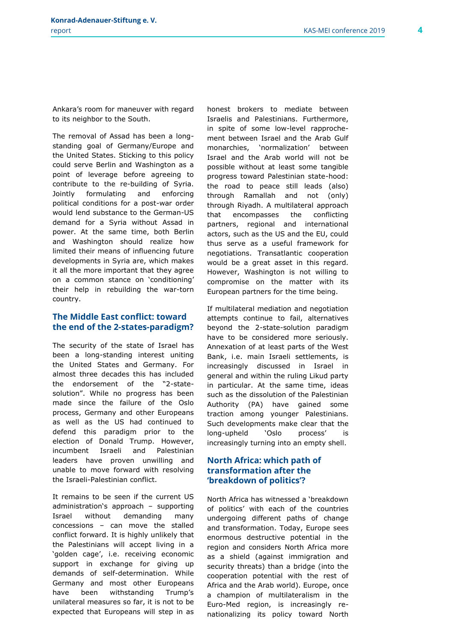Ankara's room for maneuver with regard to its neighbor to the South.

The removal of Assad has been a longstanding goal of Germany/Europe and the United States. Sticking to this policy could serve Berlin and Washington as a point of leverage before agreeing to contribute to the re-building of Syria. Jointly formulating and enforcing political conditions for a post-war order would lend substance to the German-US demand for a Syria without Assad in power. At the same time, both Berlin and Washington should realize how limited their means of influencing future developments in Syria are, which makes it all the more important that they agree on a common stance on 'conditioning' their help in rebuilding the war-torn country.

#### **The Middle East conflict: toward the end of the 2-states-paradigm?**

The security of the state of Israel has been a long-standing interest uniting the United States and Germany. For almost three decades this has included the endorsement of the "2-statesolution". While no progress has been made since the failure of the Oslo process, Germany and other Europeans as well as the US had continued to defend this paradigm prior to the election of Donald Trump. However, incumbent Israeli and Palestinian leaders have proven unwilling and unable to move forward with resolving the Israeli-Palestinian conflict.

It remains to be seen if the current US administration's approach – supporting Israel without demanding many concessions – can move the stalled conflict forward. It is highly unlikely that the Palestinians will accept living in a 'golden cage', i.e. receiving economic support in exchange for giving up demands of self-determination. While Germany and most other Europeans have been withstanding Trump's unilateral measures so far, it is not to be expected that Europeans will step in as honest brokers to mediate between Israelis and Palestinians. Furthermore, in spite of some low-level rapprochement between Israel and the Arab Gulf monarchies, 'normalization' between Israel and the Arab world will not be possible without at least some tangible progress toward Palestinian state-hood: the road to peace still leads (also) through Ramallah and not (only) through Riyadh. A multilateral approach that encompasses the conflicting partners, regional and international actors, such as the US and the EU, could thus serve as a useful framework for negotiations. Transatlantic cooperation would be a great asset in this regard. However, Washington is not willing to compromise on the matter with its European partners for the time being.

If multilateral mediation and negotiation attempts continue to fail, alternatives beyond the 2-state-solution paradigm have to be considered more seriously. Annexation of at least parts of the West Bank, i.e. main Israeli settlements, is increasingly discussed in Israel in general and within the ruling Likud party in particular. At the same time, ideas such as the dissolution of the Palestinian Authority (PA) have gained some traction among younger Palestinians. Such developments make clear that the long-upheld 'Oslo process' is increasingly turning into an empty shell.

#### **North Africa: which path of transformation after the 'breakdown of politics'?**

North Africa has witnessed a 'breakdown of politics' with each of the countries undergoing different paths of change and transformation. Today, Europe sees enormous destructive potential in the region and considers North Africa more as a shield (against immigration and security threats) than a bridge (into the cooperation potential with the rest of Africa and the Arab world). Europe, once a champion of multilateralism in the Euro-Med region, is increasingly renationalizing its policy toward North

4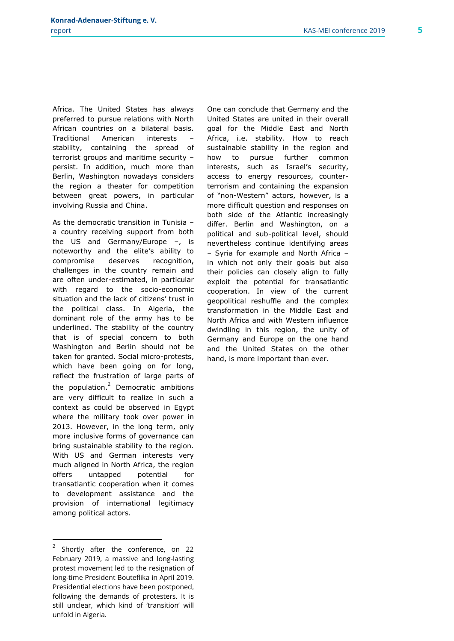Africa. The United States has always preferred to pursue relations with North African countries on a bilateral basis. Traditional American interests – stability, containing the spread of terrorist groups and maritime security – persist. In addition, much more than Berlin, Washington nowadays considers the region a theater for competition between great powers, in particular involving Russia and China.

As the democratic transition in Tunisia – a country receiving support from both the US and Germany/Europe –, is noteworthy and the elite's ability to compromise deserves recognition, challenges in the country remain and are often under-estimated, in particular with regard to the socio-economic situation and the lack of citizens' trust in the political class. In Algeria, the dominant role of the army has to be underlined. The stability of the country that is of special concern to both Washington and Berlin should not be taken for granted. Social micro-protests, which have been going on for long, reflect the frustration of large parts of the population. $2$  Democratic ambitions are very difficult to realize in such a context as could be observed in Egypt where the military took over power in 2013. However, in the long term, only more inclusive forms of governance can bring sustainable stability to the region. With US and German interests very much aligned in North Africa, the region offers untapped potential for transatlantic cooperation when it comes to development assistance and the provision of international legitimacy among political actors.

One can conclude that Germany and the United States are united in their overall goal for the Middle East and North Africa, i.e. stability. How to reach sustainable stability in the region and how to pursue further common interests, such as Israel's security, access to energy resources, counterterrorism and containing the expansion of "non-Western" actors, however, is a more difficult question and responses on both side of the Atlantic increasingly differ. Berlin and Washington, on a political and sub-political level, should nevertheless continue identifying areas – Syria for example and North Africa – in which not only their goals but also their policies can closely align to fully exploit the potential for transatlantic cooperation. In view of the current geopolitical reshuffle and the complex transformation in the Middle East and North Africa and with Western influence dwindling in this region, the unity of Germany and Europe on the one hand and the United States on the other hand, is more important than ever.

5

<sup>2</sup> Shortly after the conference, on 22 February 2019, a massive and long-lasting protest movement led to the resignation of long-time President Bouteflika in April 2019. Presidential elections have been postponed, following the demands of protesters. It is still unclear, which kind of 'transition' will unfold in Algeria.